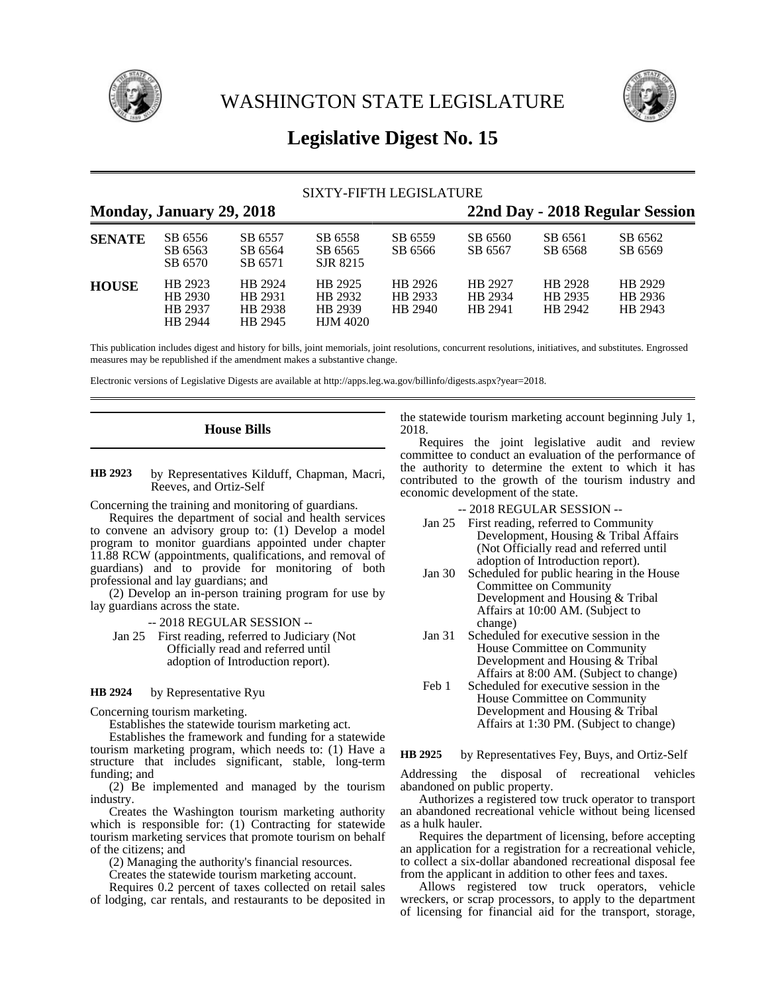

WASHINGTON STATE LEGISLATURE



# **Legislative Digest No. 15**

## SIXTY-FIFTH LEGISLATURE

| Monday, January 29, 2018 |                                          |                                          |                                                  |                               | 22nd Day - 2018 Regular Session |                               |                               |  |
|--------------------------|------------------------------------------|------------------------------------------|--------------------------------------------------|-------------------------------|---------------------------------|-------------------------------|-------------------------------|--|
| <b>SENATE</b>            | SB 6556<br>SB 6563<br>SB 6570            | SB 6557<br>SB 6564<br>SB 6571            | SB 6558<br>SB 6565<br>SJR 8215                   | SB 6559<br>SB 6566            | SB 6560<br>SB 6567              | SB 6561<br>SB 6568            | SB 6562<br>SB 6569            |  |
| <b>HOUSE</b>             | HB 2923<br>HB 2930<br>HB 2937<br>HB 2944 | HB 2924<br>HB 2931<br>HB 2938<br>HB 2945 | HB 2925<br>HB 2932<br>HB 2939<br><b>HJM 4020</b> | HB 2926<br>HB 2933<br>HB 2940 | HB 2927<br>HB 2934<br>HB 2941   | HB 2928<br>HB 2935<br>HB 2942 | HB 2929<br>HB 2936<br>HB 2943 |  |

This publication includes digest and history for bills, joint memorials, joint resolutions, concurrent resolutions, initiatives, and substitutes. Engrossed measures may be republished if the amendment makes a substantive change.

Electronic versions of Legislative Digests are available at http://apps.leg.wa.gov/billinfo/digests.aspx?year=2018.

### **House Bills**

by Representatives Kilduff, Chapman, Macri, Reeves, and Ortiz-Self **HB 2923**

Concerning the training and monitoring of guardians.

Requires the department of social and health services to convene an advisory group to: (1) Develop a model program to monitor guardians appointed under chapter 11.88 RCW (appointments, qualifications, and removal of guardians) and to provide for monitoring of both professional and lay guardians; and

(2) Develop an in-person training program for use by lay guardians across the state.

-- 2018 REGULAR SESSION --

Jan 25 First reading, referred to Judiciary (Not Officially read and referred until adoption of Introduction report).

#### by Representative Ryu **HB 2924**

Concerning tourism marketing.

Establishes the statewide tourism marketing act.

Establishes the framework and funding for a statewide tourism marketing program, which needs to: (1) Have a structure that includes significant, stable, long-term funding; and

(2) Be implemented and managed by the tourism industry.

Creates the Washington tourism marketing authority which is responsible for: (1) Contracting for statewide tourism marketing services that promote tourism on behalf of the citizens; and

(2) Managing the authority's financial resources.

Creates the statewide tourism marketing account.

Requires 0.2 percent of taxes collected on retail sales of lodging, car rentals, and restaurants to be deposited in the statewide tourism marketing account beginning July 1, 2018.

Requires the joint legislative audit and review committee to conduct an evaluation of the performance of the authority to determine the extent to which it has contributed to the growth of the tourism industry and economic development of the state.

- -- 2018 REGULAR SESSION --
- Jan 25 First reading, referred to Community Development, Housing & Tribal Affairs (Not Officially read and referred until adoption of Introduction report).
- Jan 30 Scheduled for public hearing in the House Committee on Community Development and Housing & Tribal Affairs at 10:00 AM. (Subject to change)
- Jan 31 Scheduled for executive session in the House Committee on Community Development and Housing & Tribal Affairs at 8:00 AM. (Subject to change)
- Feb 1 Scheduled for executive session in the House Committee on Community Development and Housing & Tribal Affairs at 1:30 PM. (Subject to change)

by Representatives Fey, Buys, and Ortiz-Self **HB 2925**

Addressing the disposal of recreational vehicles abandoned on public property.

Authorizes a registered tow truck operator to transport an abandoned recreational vehicle without being licensed as a hulk hauler.

Requires the department of licensing, before accepting an application for a registration for a recreational vehicle, to collect a six-dollar abandoned recreational disposal fee from the applicant in addition to other fees and taxes.

Allows registered tow truck operators, vehicle wreckers, or scrap processors, to apply to the department of licensing for financial aid for the transport, storage,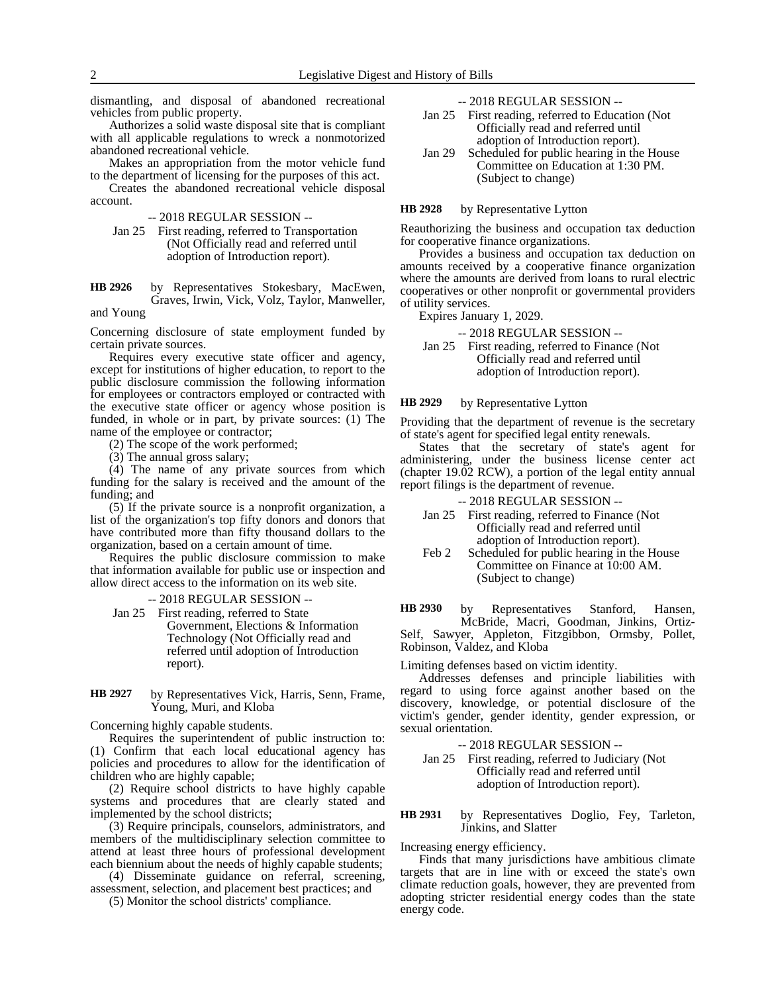dismantling, and disposal of abandoned recreational vehicles from public property.

Authorizes a solid waste disposal site that is compliant with all applicable regulations to wreck a nonmotorized abandoned recreational vehicle.

Makes an appropriation from the motor vehicle fund to the department of licensing for the purposes of this act.

Creates the abandoned recreational vehicle disposal account.

-- 2018 REGULAR SESSION --

Jan 25 First reading, referred to Transportation (Not Officially read and referred until adoption of Introduction report).

by Representatives Stokesbary, MacEwen, Graves, Irwin, Vick, Volz, Taylor, Manweller, **HB 2926**

and Young

Concerning disclosure of state employment funded by certain private sources.

Requires every executive state officer and agency, except for institutions of higher education, to report to the public disclosure commission the following information for employees or contractors employed or contracted with the executive state officer or agency whose position is funded, in whole or in part, by private sources: (1) The name of the employee or contractor;

(2) The scope of the work performed;

(3) The annual gross salary;

(4) The name of any private sources from which funding for the salary is received and the amount of the funding; and

(5) If the private source is a nonprofit organization, a list of the organization's top fifty donors and donors that have contributed more than fifty thousand dollars to the organization, based on a certain amount of time.

Requires the public disclosure commission to make that information available for public use or inspection and allow direct access to the information on its web site.

-- 2018 REGULAR SESSION --

Jan 25 First reading, referred to State Government, Elections & Information Technology (Not Officially read and referred until adoption of Introduction report).

by Representatives Vick, Harris, Senn, Frame, Young, Muri, and Kloba **HB 2927**

Concerning highly capable students.

Requires the superintendent of public instruction to: (1) Confirm that each local educational agency has policies and procedures to allow for the identification of children who are highly capable;

(2) Require school districts to have highly capable systems and procedures that are clearly stated and implemented by the school districts;

(3) Require principals, counselors, administrators, and members of the multidisciplinary selection committee to attend at least three hours of professional development each biennium about the needs of highly capable students;

(4) Disseminate guidance on referral, screening, assessment, selection, and placement best practices; and

(5) Monitor the school districts' compliance.

-- 2018 REGULAR SESSION --

- Jan 25 First reading, referred to Education (Not Officially read and referred until adoption of Introduction report).
- Jan 29 Scheduled for public hearing in the House Committee on Education at 1:30 PM. (Subject to change)

#### by Representative Lytton **HB 2928**

Reauthorizing the business and occupation tax deduction for cooperative finance organizations.

Provides a business and occupation tax deduction on amounts received by a cooperative finance organization where the amounts are derived from loans to rural electric cooperatives or other nonprofit or governmental providers of utility services.

Expires January 1, 2029.

-- 2018 REGULAR SESSION --

Jan 25 First reading, referred to Finance (Not Officially read and referred until adoption of Introduction report).

#### by Representative Lytton **HB 2929**

Providing that the department of revenue is the secretary of state's agent for specified legal entity renewals.

States that the secretary of state's agent for administering, under the business license center act (chapter 19.02 RCW), a portion of the legal entity annual report filings is the department of revenue.

-- 2018 REGULAR SESSION --

- Jan 25 First reading, referred to Finance (Not Officially read and referred until adoption of Introduction report).
- Feb 2 Scheduled for public hearing in the House Committee on Finance at 10:00 AM. (Subject to change)

by Representatives Stanford, Hansen, McBride, Macri, Goodman, Jinkins, Ortiz-**HB 2930**

Self, Sawyer, Appleton, Fitzgibbon, Ormsby, Pollet, Robinson, Valdez, and Kloba

Limiting defenses based on victim identity.

Addresses defenses and principle liabilities with regard to using force against another based on the discovery, knowledge, or potential disclosure of the victim's gender, gender identity, gender expression, or sexual orientation.

-- 2018 REGULAR SESSION --

Jan 25 First reading, referred to Judiciary (Not Officially read and referred until adoption of Introduction report).

by Representatives Doglio, Fey, Tarleton, Jinkins, and Slatter **HB 2931**

Increasing energy efficiency.

Finds that many jurisdictions have ambitious climate targets that are in line with or exceed the state's own climate reduction goals, however, they are prevented from adopting stricter residential energy codes than the state energy code.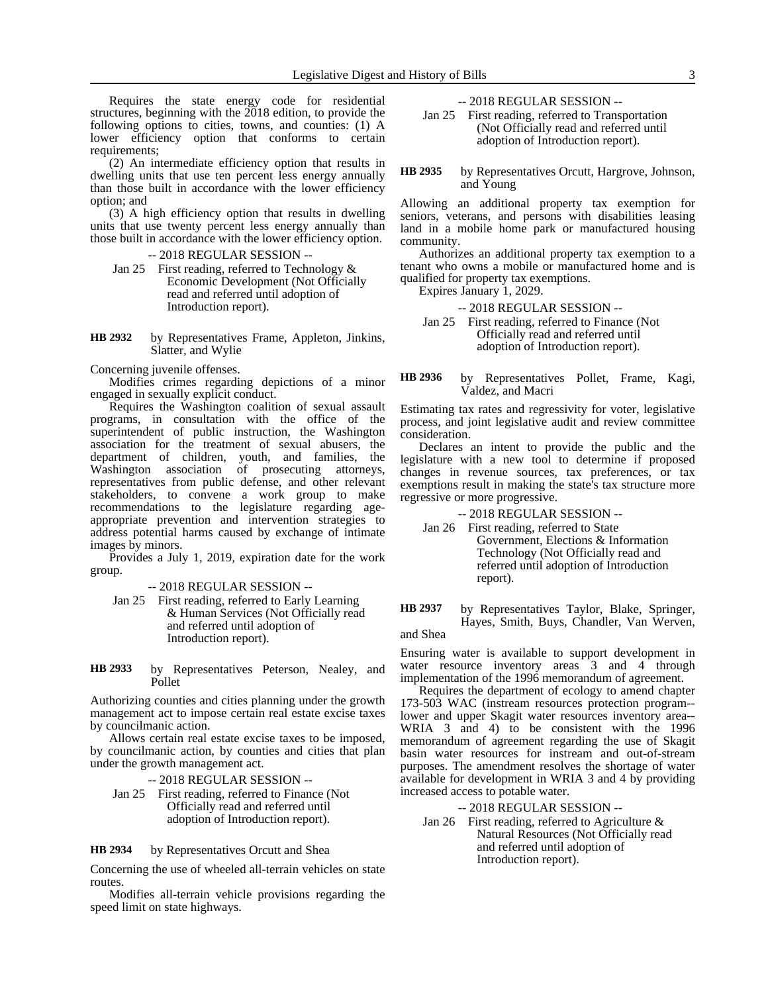Requires the state energy code for residential structures, beginning with the 2018 edition, to provide the following options to cities, towns, and counties: (1) A lower efficiency option that conforms to certain requirements;

(2) An intermediate efficiency option that results in dwelling units that use ten percent less energy annually than those built in accordance with the lower efficiency option; and

(3) A high efficiency option that results in dwelling units that use twenty percent less energy annually than those built in accordance with the lower efficiency option.

-- 2018 REGULAR SESSION --

Jan 25 First reading, referred to Technology & Economic Development (Not Officially read and referred until adoption of Introduction report).

by Representatives Frame, Appleton, Jinkins, Slatter, and Wylie **HB 2932**

Concerning juvenile offenses.

Modifies crimes regarding depictions of a minor engaged in sexually explicit conduct.

Requires the Washington coalition of sexual assault programs, in consultation with the office of the superintendent of public instruction, the Washington association for the treatment of sexual abusers, the department of children, youth, and families, the Washington association of prosecuting attorneys, representatives from public defense, and other relevant stakeholders, to convene a work group to make recommendations to the legislature regarding ageappropriate prevention and intervention strategies to address potential harms caused by exchange of intimate images by minors.

Provides a July 1, 2019, expiration date for the work group.

-- 2018 REGULAR SESSION --

- Jan 25 First reading, referred to Early Learning & Human Services (Not Officially read and referred until adoption of Introduction report).
- by Representatives Peterson, Nealey, and Pollet **HB 2933**

Authorizing counties and cities planning under the growth management act to impose certain real estate excise taxes by councilmanic action.

Allows certain real estate excise taxes to be imposed, by councilmanic action, by counties and cities that plan under the growth management act.

-- 2018 REGULAR SESSION -- Jan 25 First reading, referred to Finance (Not Officially read and referred until adoption of Introduction report).

by Representatives Orcutt and Shea **HB 2934**

Concerning the use of wheeled all-terrain vehicles on state routes.

Modifies all-terrain vehicle provisions regarding the speed limit on state highways.

-- 2018 REGULAR SESSION --

Jan 25 First reading, referred to Transportation (Not Officially read and referred until adoption of Introduction report).

by Representatives Orcutt, Hargrove, Johnson, and Young **HB 2935**

Allowing an additional property tax exemption for seniors, veterans, and persons with disabilities leasing land in a mobile home park or manufactured housing community.

Authorizes an additional property tax exemption to a tenant who owns a mobile or manufactured home and is qualified for property tax exemptions.

Expires January 1, 2029.

-- 2018 REGULAR SESSION -- Jan 25 First reading, referred to Finance (Not Officially read and referred until adoption of Introduction report).

by Representatives Pollet, Frame, Kagi, Valdez, and Macri **HB 2936**

Estimating tax rates and regressivity for voter, legislative process, and joint legislative audit and review committee consideration.

Declares an intent to provide the public and the legislature with a new tool to determine if proposed changes in revenue sources, tax preferences, or tax exemptions result in making the state's tax structure more regressive or more progressive.

-- 2018 REGULAR SESSION --

- Jan 26 First reading, referred to State Government, Elections & Information Technology (Not Officially read and referred until adoption of Introduction report).
- by Representatives Taylor, Blake, Springer, Hayes, Smith, Buys, Chandler, Van Werven, **HB 2937**

and Shea

Ensuring water is available to support development in water resource inventory areas 3 and 4 through implementation of the 1996 memorandum of agreement.

Requires the department of ecology to amend chapter 173-503 WAC (instream resources protection program- lower and upper Skagit water resources inventory area-- WRIA 3 and 4) to be consistent with the 1996 memorandum of agreement regarding the use of Skagit basin water resources for instream and out-of-stream purposes. The amendment resolves the shortage of water available for development in WRIA 3 and 4 by providing increased access to potable water.

-- 2018 REGULAR SESSION --

Jan 26 First reading, referred to Agriculture & Natural Resources (Not Officially read and referred until adoption of Introduction report).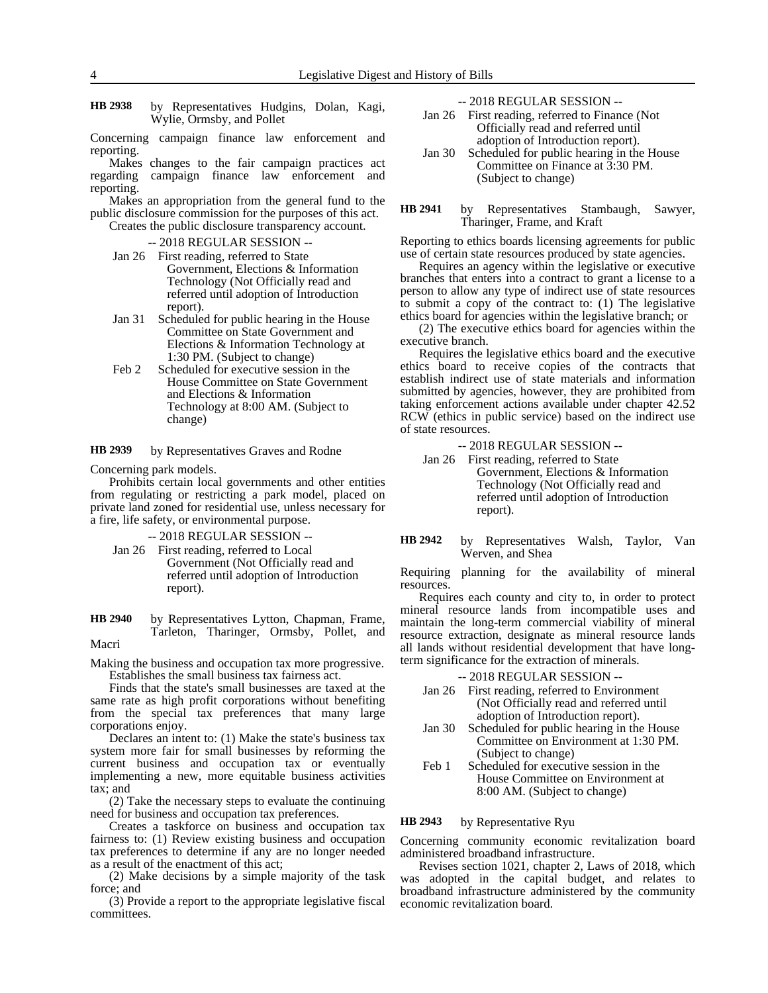- by Representatives Hudgins, Dolan, Kagi, Wylie, Ormsby, and Pollet **HB 2938**
- Concerning campaign finance law enforcement and reporting.

Makes changes to the fair campaign practices act regarding campaign finance law enforcement and reporting.

Makes an appropriation from the general fund to the public disclosure commission for the purposes of this act. Creates the public disclosure transparency account.

-- 2018 REGULAR SESSION --

- Jan 26 First reading, referred to State Government, Elections & Information Technology (Not Officially read and referred until adoption of Introduction report).
- Jan 31 Scheduled for public hearing in the House Committee on State Government and Elections & Information Technology at 1:30 PM. (Subject to change)
- Feb 2 Scheduled for executive session in the House Committee on State Government and Elections & Information Technology at 8:00 AM. (Subject to change)

by Representatives Graves and Rodne **HB 2939**

Concerning park models.

Prohibits certain local governments and other entities from regulating or restricting a park model, placed on private land zoned for residential use, unless necessary for a fire, life safety, or environmental purpose.

-- 2018 REGULAR SESSION --

Jan 26 First reading, referred to Local Government (Not Officially read and referred until adoption of Introduction report).

by Representatives Lytton, Chapman, Frame, Tarleton, Tharinger, Ormsby, Pollet, and **HB 2940**

Macri

Making the business and occupation tax more progressive. Establishes the small business tax fairness act.

Finds that the state's small businesses are taxed at the same rate as high profit corporations without benefiting from the special tax preferences that many large corporations enjoy.

Declares an intent to: (1) Make the state's business tax system more fair for small businesses by reforming the current business and occupation tax or eventually implementing a new, more equitable business activities tax; and

(2) Take the necessary steps to evaluate the continuing need for business and occupation tax preferences.

Creates a taskforce on business and occupation tax fairness to: (1) Review existing business and occupation tax preferences to determine if any are no longer needed as a result of the enactment of this act;

(2) Make decisions by a simple majority of the task force; and

(3) Provide a report to the appropriate legislative fiscal committees.

-- 2018 REGULAR SESSION --

- Jan 26 First reading, referred to Finance (Not Officially read and referred until adoption of Introduction report).
- Jan 30 Scheduled for public hearing in the House Committee on Finance at 3:30 PM. (Subject to change)
- by Representatives Stambaugh, Sawyer, Tharinger, Frame, and Kraft **HB 2941**

Reporting to ethics boards licensing agreements for public use of certain state resources produced by state agencies.

Requires an agency within the legislative or executive branches that enters into a contract to grant a license to a person to allow any type of indirect use of state resources to submit a copy of the contract to: (1) The legislative ethics board for agencies within the legislative branch; or

(2) The executive ethics board for agencies within the executive branch.

Requires the legislative ethics board and the executive ethics board to receive copies of the contracts that establish indirect use of state materials and information submitted by agencies, however, they are prohibited from taking enforcement actions available under chapter 42.52 RCW (ethics in public service) based on the indirect use of state resources.

- -- 2018 REGULAR SESSION --
- Jan 26 First reading, referred to State Government, Elections & Information Technology (Not Officially read and referred until adoption of Introduction report).
- by Representatives Walsh, Taylor, Van Werven, and Shea **HB 2942**

Requiring planning for the availability of mineral resources.

Requires each county and city to, in order to protect mineral resource lands from incompatible uses and maintain the long-term commercial viability of mineral resource extraction, designate as mineral resource lands all lands without residential development that have longterm significance for the extraction of minerals.

-- 2018 REGULAR SESSION --

- Jan 26 First reading, referred to Environment (Not Officially read and referred until adoption of Introduction report).
- Jan 30 Scheduled for public hearing in the House Committee on Environment at 1:30 PM. (Subject to change)
- Feb 1 Scheduled for executive session in the House Committee on Environment at 8:00 AM. (Subject to change)

by Representative Ryu **HB 2943**

Concerning community economic revitalization board administered broadband infrastructure.

Revises section 1021, chapter 2, Laws of 2018, which was adopted in the capital budget, and relates to broadband infrastructure administered by the community economic revitalization board.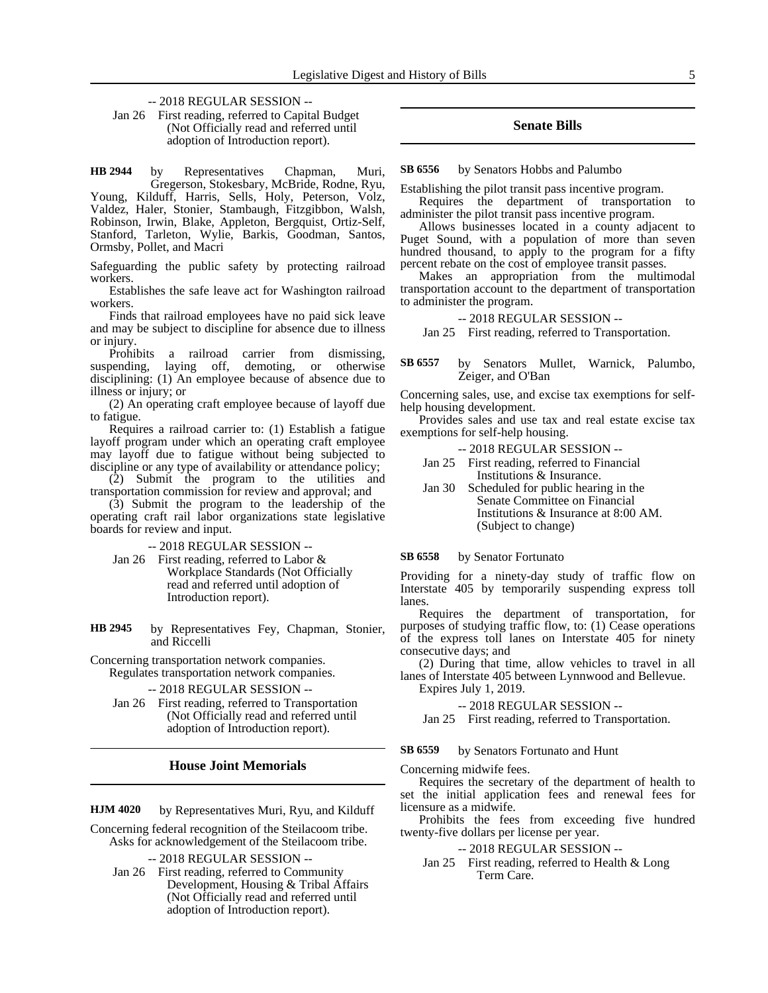-- 2018 REGULAR SESSION --

Jan 26 First reading, referred to Capital Budget (Not Officially read and referred until adoption of Introduction report).

by Representatives Chapman, Muri, Gregerson, Stokesbary, McBride, Rodne, Ryu, Young, Kilduff, Harris, Sells, Holy, Peterson, Volz, Valdez, Haler, Stonier, Stambaugh, Fitzgibbon, Walsh, Robinson, Irwin, Blake, Appleton, Bergquist, Ortiz-Self, Stanford, Tarleton, Wylie, Barkis, Goodman, Santos, Ormsby, Pollet, and Macri **HB 2944**

Safeguarding the public safety by protecting railroad workers.

Establishes the safe leave act for Washington railroad workers.

Finds that railroad employees have no paid sick leave and may be subject to discipline for absence due to illness or injury.

Prohibits a railroad carrier from dismissing, suspending, laying off, demoting, or otherwise disciplining: (1) An employee because of absence due to illness or injury; or

(2) An operating craft employee because of layoff due to fatigue.

Requires a railroad carrier to: (1) Establish a fatigue layoff program under which an operating craft employee may layoff due to fatigue without being subjected to discipline or any type of availability or attendance policy;

(2) Submit the program to the utilities and transportation commission for review and approval; and

(3) Submit the program to the leadership of the operating craft rail labor organizations state legislative boards for review and input.

-- 2018 REGULAR SESSION --

Jan 26 First reading, referred to Labor & Workplace Standards (Not Officially read and referred until adoption of Introduction report).

by Representatives Fey, Chapman, Stonier, and Riccelli **HB 2945**

Concerning transportation network companies. Regulates transportation network companies.

-- 2018 REGULAR SESSION --

Jan 26 First reading, referred to Transportation (Not Officially read and referred until adoption of Introduction report).

### **House Joint Memorials**

by Representatives Muri, Ryu, and Kilduff **HJM 4020**

Concerning federal recognition of the Steilacoom tribe. Asks for acknowledgement of the Steilacoom tribe.

-- 2018 REGULAR SESSION --

Jan 26 First reading, referred to Community Development, Housing & Tribal Affairs (Not Officially read and referred until adoption of Introduction report).

### **Senate Bills**

by Senators Hobbs and Palumbo **SB 6556**

Establishing the pilot transit pass incentive program.

Requires the department of transportation to administer the pilot transit pass incentive program.

Allows businesses located in a county adjacent to Puget Sound, with a population of more than seven hundred thousand, to apply to the program for a fifty percent rebate on the cost of employee transit passes.

Makes an appropriation from the multimodal transportation account to the department of transportation to administer the program.

### -- 2018 REGULAR SESSION --

Jan 25 First reading, referred to Transportation.

by Senators Mullet, Warnick, Palumbo, Zeiger, and O'Ban **SB 6557**

Concerning sales, use, and excise tax exemptions for selfhelp housing development.

Provides sales and use tax and real estate excise tax exemptions for self-help housing.

- -- 2018 REGULAR SESSION --
- Jan 25 First reading, referred to Financial Institutions & Insurance.
- Jan 30 Scheduled for public hearing in the Senate Committee on Financial Institutions & Insurance at 8:00 AM. (Subject to change)

by Senator Fortunato **SB 6558**

Providing for a ninety-day study of traffic flow on Interstate 405 by temporarily suspending express toll lanes.

Requires the department of transportation, for purposes of studying traffic flow, to: (1) Cease operations of the express toll lanes on Interstate 405 for ninety consecutive days; and

(2) During that time, allow vehicles to travel in all lanes of Interstate 405 between Lynnwood and Bellevue. Expires July 1, 2019.

-- 2018 REGULAR SESSION --

Jan 25 First reading, referred to Transportation.

by Senators Fortunato and Hunt **SB 6559**

Concerning midwife fees.

Requires the secretary of the department of health to set the initial application fees and renewal fees for licensure as a midwife.

Prohibits the fees from exceeding five hundred twenty-five dollars per license per year.

### -- 2018 REGULAR SESSION --

Jan 25 First reading, referred to Health & Long Term Care.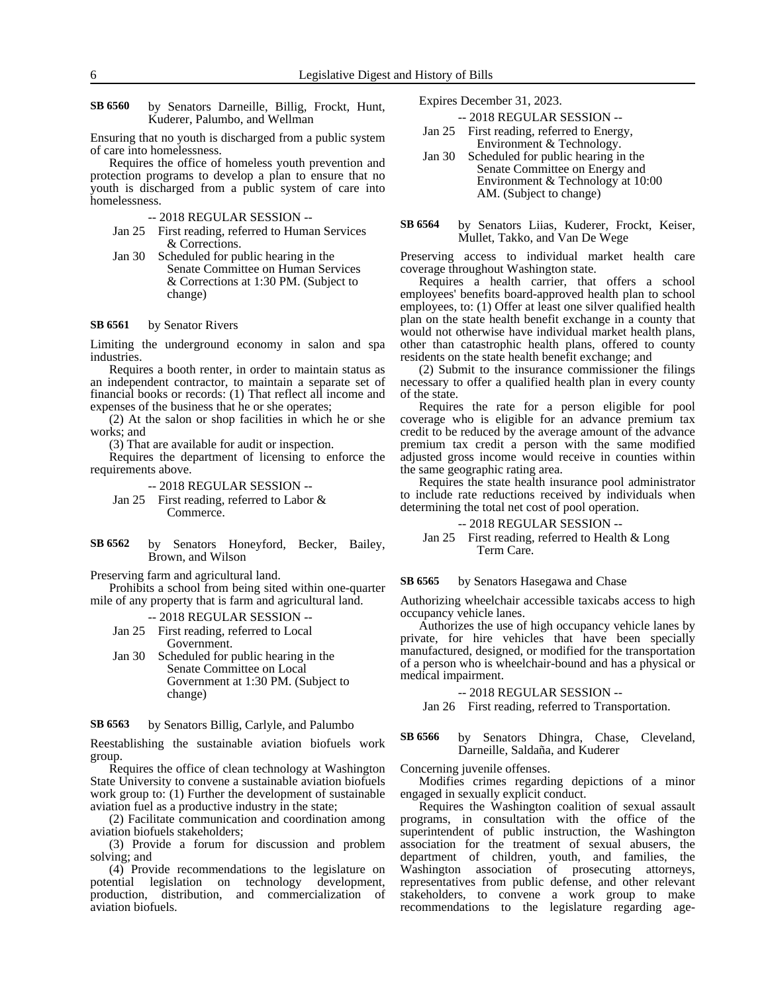by Senators Darneille, Billig, Frockt, Hunt, Kuderer, Palumbo, and Wellman **SB 6560**

Ensuring that no youth is discharged from a public system of care into homelessness.

Requires the office of homeless youth prevention and protection programs to develop a plan to ensure that no youth is discharged from a public system of care into homelessness.

-- 2018 REGULAR SESSION --

- Jan 25 First reading, referred to Human Services & Corrections.
- Jan 30 Scheduled for public hearing in the Senate Committee on Human Services & Corrections at 1:30 PM. (Subject to change)

#### by Senator Rivers **SB 6561**

Limiting the underground economy in salon and spa industries.

Requires a booth renter, in order to maintain status as an independent contractor, to maintain a separate set of financial books or records: (1) That reflect all income and expenses of the business that he or she operates;

(2) At the salon or shop facilities in which he or she works; and

(3) That are available for audit or inspection.

Requires the department of licensing to enforce the requirements above.

-- 2018 REGULAR SESSION --

- Jan 25 First reading, referred to Labor & Commerce.
- by Senators Honeyford, Becker, Bailey, Brown, and Wilson **SB 6562**

Preserving farm and agricultural land.

Prohibits a school from being sited within one-quarter mile of any property that is farm and agricultural land.

-- 2018 REGULAR SESSION --

Jan 25 First reading, referred to Local Government.

Jan 30 Scheduled for public hearing in the Senate Committee on Local Government at 1:30 PM. (Subject to change)

by Senators Billig, Carlyle, and Palumbo **SB 6563**

Reestablishing the sustainable aviation biofuels work group.

Requires the office of clean technology at Washington State University to convene a sustainable aviation biofuels work group to: (1) Further the development of sustainable aviation fuel as a productive industry in the state;

(2) Facilitate communication and coordination among aviation biofuels stakeholders;

(3) Provide a forum for discussion and problem solving; and

(4) Provide recommendations to the legislature on potential legislation on technology development, production, distribution, and commercialization of aviation biofuels.

Expires December 31, 2023.

- -- 2018 REGULAR SESSION --
- Jan 25 First reading, referred to Energy, Environment & Technology.
- Jan 30 Scheduled for public hearing in the Senate Committee on Energy and Environment & Technology at 10:00 AM. (Subject to change)
- by Senators Liias, Kuderer, Frockt, Keiser, Mullet, Takko, and Van De Wege **SB 6564**

Preserving access to individual market health care coverage throughout Washington state.

Requires a health carrier, that offers a school employees' benefits board-approved health plan to school employees, to: (1) Offer at least one silver qualified health plan on the state health benefit exchange in a county that would not otherwise have individual market health plans, other than catastrophic health plans, offered to county residents on the state health benefit exchange; and

(2) Submit to the insurance commissioner the filings necessary to offer a qualified health plan in every county of the state.

Requires the rate for a person eligible for pool coverage who is eligible for an advance premium tax credit to be reduced by the average amount of the advance premium tax credit a person with the same modified adjusted gross income would receive in counties within the same geographic rating area.

Requires the state health insurance pool administrator to include rate reductions received by individuals when determining the total net cost of pool operation.

-- 2018 REGULAR SESSION --

Jan 25 First reading, referred to Health & Long Term Care.

by Senators Hasegawa and Chase **SB 6565**

Authorizing wheelchair accessible taxicabs access to high occupancy vehicle lanes.

Authorizes the use of high occupancy vehicle lanes by private, for hire vehicles that have been specially manufactured, designed, or modified for the transportation of a person who is wheelchair-bound and has a physical or medical impairment.

-- 2018 REGULAR SESSION --

Jan 26 First reading, referred to Transportation.

### by Senators Dhingra, Chase, Cleveland, Darneille, Saldaña, and Kuderer **SB 6566**

Concerning juvenile offenses.

Modifies crimes regarding depictions of a minor engaged in sexually explicit conduct.

Requires the Washington coalition of sexual assault programs, in consultation with the office of the superintendent of public instruction, the Washington association for the treatment of sexual abusers, the department of children, youth, and families, the Washington association of prosecuting attorneys, representatives from public defense, and other relevant stakeholders, to convene a work group to make recommendations to the legislature regarding age